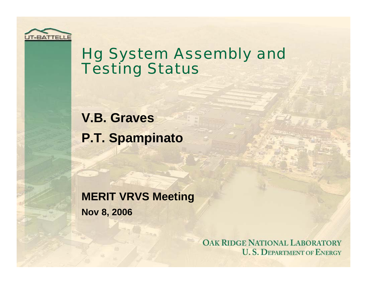

### Hg System Assembly and **Testing Status**

**V.B. Graves P.T. Spampinato**

**MERIT VRVS Meeting Nov 8, 2006**

> **OAK RIDGE NATIONAL LABORATORY U.S. DEPARTMENT OF ENERGY**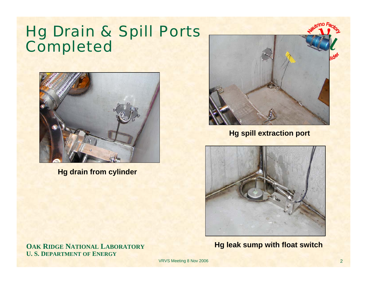### Hg Drain & Spill Ports Completed



**Hg drain from cylinder**

**Hg spill extraction port**



**Hg leak sump with float switch**

**OAK RIDGE NATIONAL LABORATORY U. S. DEPARTMENT OF ENERGY**

VRVS Meeting 8 Nov 2006 2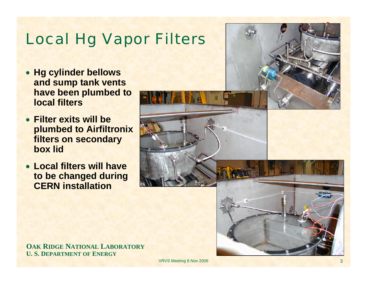## Local Hg Vapor Filters

- **Hg cylinder bellows and sump tank vents have been plumbed to local filters**
- **Filter exits will be plumbed to Airfiltronix filters on secondary box lid**
- **Local filters will have to be changed during CERN installation**



**OAK RIDGE NATIONAL LABORATORY U. S. DEPARTMENT OF ENERGY**

VRVS Meeting 8 Nov 2006 3 3 Nov 2006 3 3 Nov 2006 3 3 Nov 2006 3 3 Nov 2006 3 3 Nov 2006 3 3 Nov 2006 3 3  $\frac{1}{3}$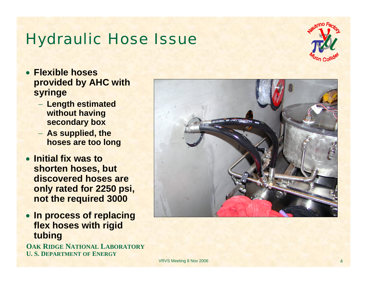#### Hydraulic Hose Issue



- **Flexible hoses provided by AHC with syringe**
	- − **Length estimated without having secondary box**
	- − **As supplied, the hoses are too long**
- **Initial fix was to shorten hoses, but discovered hoses are only rated for 2250 psi, not the required 3000**
- **In process of replacing flex hoses with rigid tubing**

**OAK RIDGE NATIONAL LABORATORY U. S. DEPARTMENT OF ENERGY**

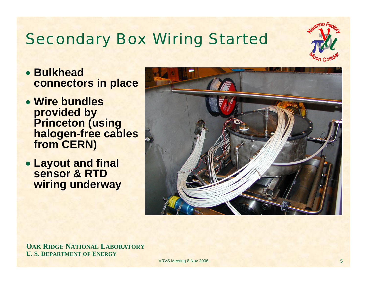# Secondary Box Wiring Started



- **Bulkhead connectors in place**
- **Wire bundles provided by Princeton (using halogen-free cables from CERN)**
- **Layout and final sensor & RTD wiring underway**



**OAK RIDGE NATIONAL LABORATORY U. S. DEPARTMENT OF ENERGY**

VRVS Meeting 8 Nov 2006 **5** Nov 2006 **5**